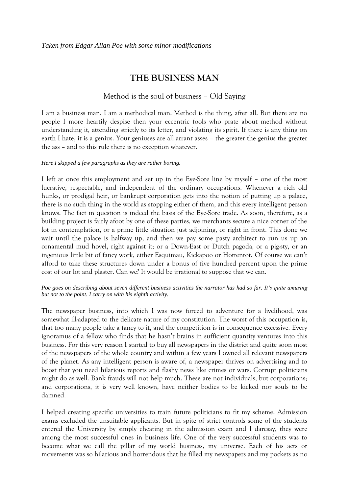## **THE BUSINESS MAN**

## Method is the soul of business – Old Saying

I am a business man. I am a methodical man. Method is the thing, after all. But there are no people I more heartily despise then your eccentric fools who prate about method without understanding it, attending strictly to its letter, and violating its spirit. If there is any thing on earth I hate, it is a genius. Your geniuses are all arrant asses – the greater the genius the greater the ass – and to this rule there is no exception whatever.

## *Here I skipped a few paragraphs as they are rather boring.*

I left at once this employment and set up in the Eye-Sore line by myself – one of the most lucrative, respectable, and independent of the ordinary occupations. Whenever a rich old hunks, or prodigal heir, or bankrupt corporation gets into the notion of putting up a palace, there is no such thing in the world as stopping either of them, and this every intelligent person knows. The fact in question is indeed the basis of the Eye-Sore trade. As soon, therefore, as a building project is fairly afoot by one of these parties, we merchants secure a nice corner of the lot in contemplation, or a prime little situation just adjoining, or right in front. This done we wait until the palace is halfway up, and then we pay some pasty architect to run us up an ornamental mud hovel, right against it; or a Down-East or Dutch pagoda, or a pig-sty, or an ingenious little bit of fancy work, either Esquimau, Kickapoo or Hottentot. Of course we can't afford to take these structures down under a bonus of five hundred percent upon the prime cost of our lot and plaster. Can we? It would be irrational to suppose that we can.

## *Poe goes on describing about seven different business activities the narrator has had so far. It's quite amusing but not to the point. I carry on with his eighth activity.*

The newspaper business, into which I was now forced to adventure for a livelihood, was somewhat ill-adapted to the delicate nature of my constitution. The worst of this occupation is, that too many people take a fancy to it, and the competition is in consequence excessive. Every ignoramus of a fellow who finds that he hasn't brains in sufficient quantity ventures into this business. For this very reason I started to buy all newspapers in the district and quite soon most of the newspapers of the whole country and within a few years I owned all relevant newspapers of the planet. As any intelligent person is aware of, a newspaper thrives on advertising and to boost that you need hilarious reports and flashy news like crimes or wars. Corrupt politicians might do as well. Bank frauds will not help much. These are not individuals, but corporations; and corporations, it is very well known, have neither bodies to be kicked nor souls to be damned.

I helped creating specific universities to train future politicians to fit my scheme. Admission exams excluded the unsuitable applicants. But in spite of strict controls some of the students entered the University by simply cheating in the admission exam and I daresay, they were among the most successful ones in business life. One of the very successful students was to become what we call the pillar of my world business, my universe. Each of his acts or movements was so hilarious and horrendous that he filled my newspapers and my pockets as no